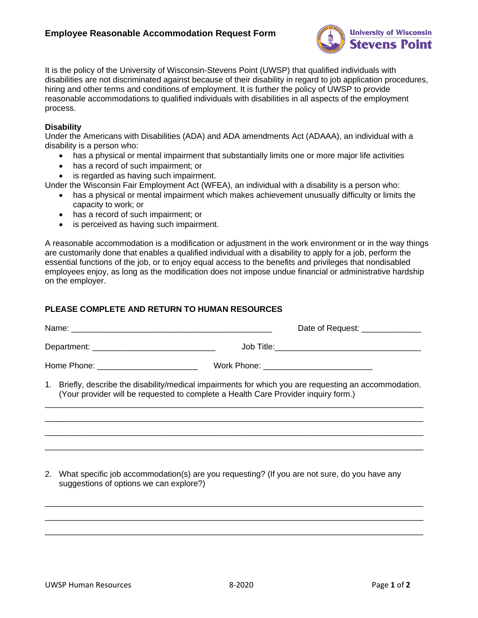

It is the policy of the University of Wisconsin-Stevens Point (UWSP) that qualified individuals with disabilities are not discriminated against because of their disability in regard to job application procedures, hiring and other terms and conditions of employment. It is further the policy of UWSP to provide reasonable accommodations to qualified individuals with disabilities in all aspects of the employment process.

## **Disability**

Under the Americans with Disabilities (ADA) and ADA amendments Act (ADAAA), an individual with a disability is a person who:

- has a physical or mental impairment that substantially limits one or more major life activities
- has a record of such impairment; or
- is regarded as having such impairment.

Under the Wisconsin Fair Employment Act (WFEA), an individual with a disability is a person who:

- has a physical or mental impairment which makes achievement unusually difficulty or limits the capacity to work; or
- has a record of such impairment; or
- is perceived as having such impairment.

A reasonable accommodation is a modification or adjustment in the work environment or in the way things are customarily done that enables a qualified individual with a disability to apply for a job, perform the essential functions of the job, or to enjoy equal access to the benefits and privileges that nondisabled employees enjoy, as long as the modification does not impose undue financial or administrative hardship on the employer.

### **PLEASE COMPLETE AND RETURN TO HUMAN RESOURCES**

|  |                                                                                                                                                                                              | Date of Request: ______________            |
|--|----------------------------------------------------------------------------------------------------------------------------------------------------------------------------------------------|--------------------------------------------|
|  |                                                                                                                                                                                              |                                            |
|  |                                                                                                                                                                                              | Work Phone: ______________________________ |
|  | 1. Briefly, describe the disability/medical impairments for which you are requesting an accommodation.<br>(Your provider will be requested to complete a Health Care Provider inquiry form.) |                                            |
|  |                                                                                                                                                                                              |                                            |
|  |                                                                                                                                                                                              |                                            |
|  |                                                                                                                                                                                              |                                            |

2. What specific job accommodation(s) are you requesting? (If you are not sure, do you have any suggestions of options we can explore?)

 $\_$  , and the set of the set of the set of the set of the set of the set of the set of the set of the set of the set of the set of the set of the set of the set of the set of the set of the set of the set of the set of th  $\_$  , and the set of the set of the set of the set of the set of the set of the set of the set of the set of the set of the set of the set of the set of the set of the set of the set of the set of the set of the set of th \_\_\_\_\_\_\_\_\_\_\_\_\_\_\_\_\_\_\_\_\_\_\_\_\_\_\_\_\_\_\_\_\_\_\_\_\_\_\_\_\_\_\_\_\_\_\_\_\_\_\_\_\_\_\_\_\_\_\_\_\_\_\_\_\_\_\_\_\_\_\_\_\_\_\_\_\_\_\_\_\_\_\_